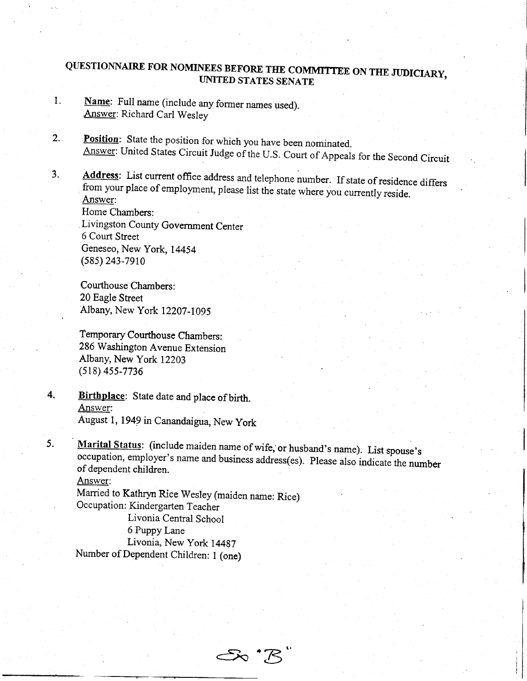## QUESTIONNAIRE FOR NOMINEES BEFORE THE COMMITTEE ON THE JUDICIARY, UMTED STATES SENATE

- 1. Name: Full name (include any former names used). Answer: Richard Carl Wesley
- 2. Position: State the position for which you have been nominated. Answer: United States Circuit Judge of the U.S. Court of Appeals for the Second Circuit
- 3. Address: List current office address and telephone number. If state of residence differs from your place of employment, please list the state where you currently reside. from your place of employment, please list the state where you currently reside.<br>Answer: Home Chambers:

Livingston County Government Center 6 Court Street Geneseo, New York, 14454  $(585)$  243-7910

Courthouse Chambers: 20 Eagle Street Albany, New York 12207-1095

Temporary Courthouse Chambers: 286 Washington Avenue Extension Albany, New York 12203 (s18) 4ss-7736

4. Birthplace: State date and place of birth. Answer: August l, 1949 in Canandaigua, New york

5. Marital Status: (include maiden name of wife, or husband's name). List spouse's occupation, employer's name and business address(es). Please also indicate the number of dependent children.

Ss 'B

Answer:

.

Married to Kathryn Rice Wesley (maiden name: Rice) Occupation: Kindergarten Teacher

Livonia Central School 6 Puppy Lane

Livonia, New york 14497 Number of Dependent Children: I (one)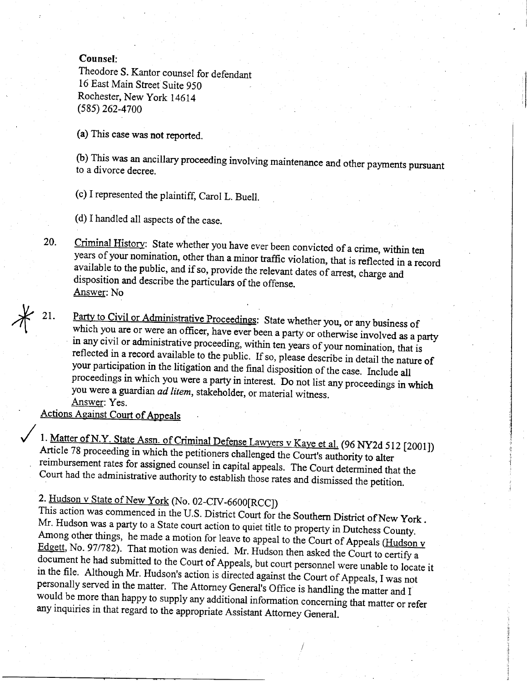## **Counsel:**

Theodore S. Kantor counsel for defendant 16 East Main Street Suite 950 Rochester, New York 14614 (585) 262-4700

(a) This case was not reported.

(b) This was an ancillary proceeding involving maintenance and other payments pursuant to a divorce decree.

(c) I represented the plaintiff, Carol L. Buell.

(d) I handled all aspects of the case.

Criminal History: State whether you have ever been convicted of a crime, within ten 20. years of your nomination, other than a minor traffic violation, that is reflected in a record available to the public, and if so, provide the relevant dates of arrest, charge and disposition and describe the particulars of the offense. Answer: No

Party to Civil or Administrative Proceedings: State whether you, or any business of 21. which you are or were an officer, have ever been a party or otherwise involved as a party in any civil or administrative proceeding, within ten years of your nomination, that is reflected in a record available to the public. If so, please describe in detail the nature of your participation in the litigation and the final disposition of the case. Include all proceedings in which you were a party in interest. Do not list any proceedings in which you were a guardian *ad litem*, stakeholder, or material witness. Answer: Yes.

**Actions Against Court of Appeals** 

1. Matter of N.Y. State Assn. of Criminal Defense Lawyers v Kaye et al. (96 NY2d 512 [2001]) Article 78 proceeding in which the petitioners challenged the Court's authority to alter reimbursement rates for assigned counsel in capital appeals. The Court determined that the Court had the administrative authority to establish those rates and dismissed the petition.

# 2. Hudson v State of New York (No. 02-CIV-6600[RCC])

This action was commenced in the U.S. District Court for the Southern District of New York. Mr. Hudson was a party to a State court action to quiet title to property in Dutchess County. Among other things, he made a motion for leave to appeal to the Court of Appeals (Hudson v Edgett, No. 97/782). That motion was denied. Mr. Hudson then asked the Court to certify a document he had submitted to the Court of Appeals, but court personnel were unable to locate it in the file. Although Mr. Hudson's action is directed against the Court of Appeals, I was not personally served in the matter. The Attorney General's Office is handling the matter and I would be more than happy to supply any additional information concerning that matter or refer any inquiries in that regard to the appropriate Assistant Attorney General.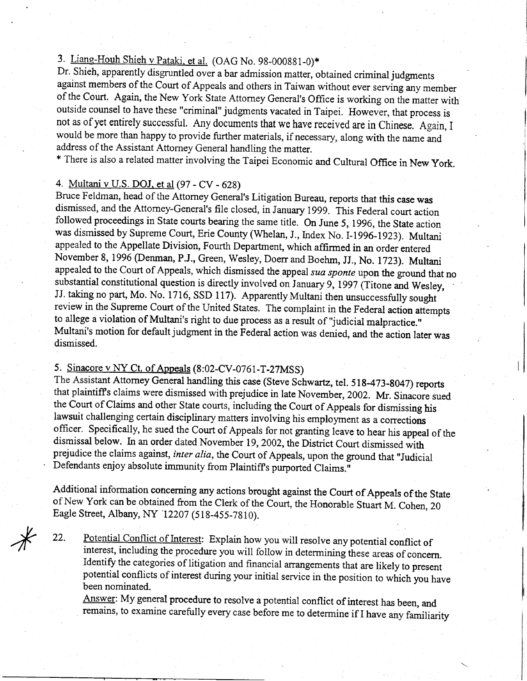## 3. Liang-Houh Shieh v Pataki, et al. (OAG No. 98-000881-0)\*

Dr. Shieh, apparently disgruntled over a bar admission matter, obtained criminal judgments against members of the Court of Appeals and others in Taiwan without ever serving any member of the Court. Again, the New York State Attorney General's Office is working on the matter with outside counsel to have these "criminal" judgments vacated in Taipei. However, that process is not as of yet entirely successful. Any documents that we have received are in Chinese. Again, I would be more than happy to provide further materials, if necessary, along with the name and address of the Assistant Attorney General handling the matter.

\* There is also a related matter involving the Taipei Economic and Cultural Office in New york.

#### 4. Multani v U.S. DOJ. et al (97 - CV - 628)

Bruce Feldman, head of the Attorney General's Litigation Bureau, reports that this case was dismissed, and the Attomey-General's file closed, in January t99g. This Federal court action followed proceedings in State courts bearing the same title. On June 5, 1996, the State action was dismissed by Supreme Court, Erie County (Whelan, J., Index No. I-1996-1923). Multani appealed to the Appellate Division, Fourth Departrnent, which affirmed in an order entered November 8, 1996 (Denman, P.J., Green, wesley, Doerr and Boehm, JJ., No. 1723). Multani appealed to the Court of Appeals, which dismissed the appeal sua sponte upon the ground that no substantial constitutional question is directly involved on January 9, 1997 (Titone and Wesley, JJ. taking no part, Mo. No. 1716, SSD 117). Apparently Multani then unsuccessfully sought review in the Supreme Court of the United States. The complaint in the Federal action attempts to allege a violation of Multani's right to due process as a result of 'Judicial malpractice." Multani's motion for default judgment in the Federal action was denied, and the action laterwas dismissed.

## 5. Sinacore v NY Ct. of Apoeals (8:02-CV-0761-T-27MSS)

The Assistant Attorney General handling this case (Steve Schwartz, tel. 518-473-8047) reports that plaintiff's claims were dismissed with prejudice in late November, 2002. Mr. Sinacore sued the Court of Claims and other State courts, including the Court of Appeals for dismissing his lawsuit challenging certain disciplinary matters involving his employment as a corrections officer. Specifically, he sued the Court of Appeals for not granting ieave to hear his appeal of the dismissal below. In an order dated November 19, 2002, the District Court dismissed with prejudice the claims against, inter alia, the Court of Appeals, upon the ground that "Judicial Defendants enjoy absolute immunity from Plaintiff's purported Claims."

Additional information concerning any actions brought against the Court of Appeals of the State of New York can be obtained from the Clerk of the Court, the Honorable Stuart M. Cohen, 20 Eagle Street, Albany, bIY '12207 (518-455-7810).

Potential Conflict of lnterest: Explain how you will resolve anypotential conflict of interest, including the procedure you will follow in determining these areas of concern. Identify the categories of litigation and financial arrangements that are likely to present potential conflicts of interest during your initiai service in the position to which you have been nominated. 22.

Answer: My general procedure to resolve a potential conflict of interest has been, and remains, to examine carefully every case before me to determine if I have any familiarity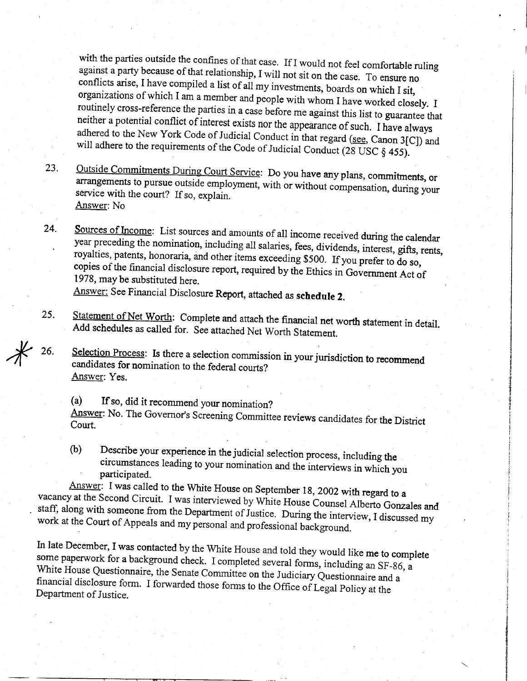with the parties outside the confines of that case. If I would not feel comfortable ruling<br>against a party because of that relationship, I will not sit on the case. To ensure no<br>conflicts arise, I have compiled a list of a neither a potential conflict of interest exists nor the appearance of such. I have always adhered to the New York Code of Judicial Conduct in that regard (see, Canon 3[C]) and will adhered to the New York Code of Judicial Conduct in that regard (see, Canon 3[C]) and will adhere to the requirements of the Code of Judicial Conduct (28 USC  $\S$  455).

- 23. Outside Commitments During Court Service: Do you have any plans, commitments, or<br>arrangements to pursue outside employment, with or without compensation, during your service with the court? If so, explain. Answer: No
- 24. Sources of Income: List sources and amounts of all income received during the calendar<br>year preceding the nomination, including all salaries, fees, dividends, interest, gifts, rents,<br>royalties, patents, honoraria, and othe Answer: See Financial Disclosure Report, attached as schedule 2.

26.

- $25.$ Statement of Net Worth: Complete and attach the financial net worth statement in detail.<br>Add schedules as called for. See attached Net Worth Statement.
	- Selection Process: Is there a selection commission in your jurisdiction to recommend candidates for nomination to the federal courts? Answer: Yes.
	- (a) If so, did it recommend your nomination? Answer: No. The Governor's Screening Committee reviews candidates for the District Court.
	- (b) Describe your experience in the judicial selection process, including the circumstances leading to your nomination and the interviews in which you participated.

Answer: I was called to the White House on September 18, 2002 with regard to a vacancy at the Second Circuit. I was interviewed by White House Council All  $\alpha$  and  $\alpha$ staff, along with : vacancy at the Second Circuit. I was interviewed by White House Counsel Alberto Gonzales and<br>staff, along with someone from the Department of Justice. During the interview, I discussed my<br>work at the Court of Appeals and m

In late December, I was contacted by the White House and told they would like me to complete some paperwork for a background check. I completed several forms, including an SF-86, a white House some paperwork for a background check. I completed several forms, including an SF-86, a<br>White House Questionnaire, the Senate Committee on the Judiciary Questionnaire and a<br>financial disclosure form. I forwarded those form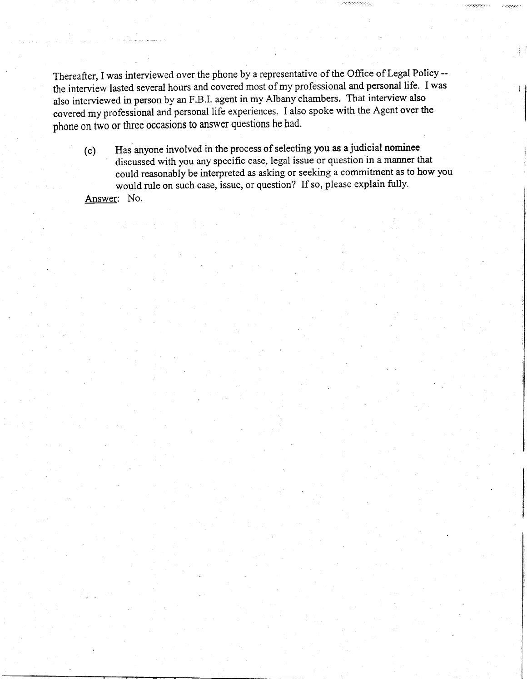Thereafter, I was interviewed over the phone by a representative of the Office of Legal Policy - the interview lasted several hours and covered most of my professional and personal life. I was also interviewed in person by an F.B.I. agent in my Albany chambers. That interview also covered my professional and personal life experiences. I also spoke with the Agent over the phone on two or three occasions to answer questions he had.

(c) Has anyone involved in the process of selecting you as a judicial nominee discussed with you any specific case, legal issue or question in a manner that could reasonably be interpreted as asking or seeking a commitment as to how you would rule on such case, issue, or question? If so, please explain fully. Answer: No.

يرومين وووجود